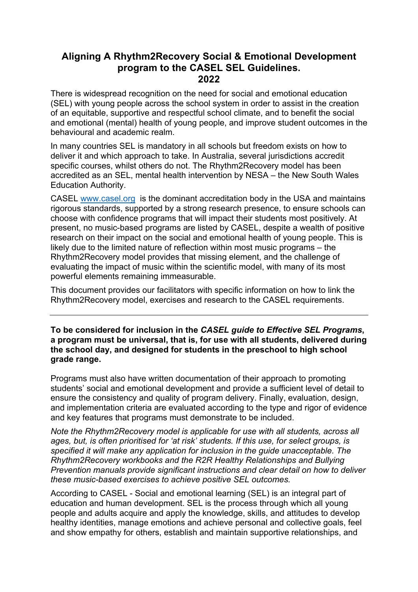# **Aligning A Rhythm2Recovery Social & Emotional Development program to the CASEL SEL Guidelines. 2022**

There is widespread recognition on the need for social and emotional education (SEL) with young people across the school system in order to assist in the creation of an equitable, supportive and respectful school climate, and to benefit the social and emotional (mental) health of young people, and improve student outcomes in the behavioural and academic realm.

In many countries SEL is mandatory in all schools but freedom exists on how to deliver it and which approach to take. In Australia, several jurisdictions accredit specific courses, whilst others do not. The Rhythm2Recovery model has been accredited as an SEL, mental health intervention by NESA – the New South Wales Education Authority.

CASEL www.casel.org is the dominant accreditation body in the USA and maintains rigorous standards, supported by a strong research presence, to ensure schools can choose with confidence programs that will impact their students most positively. At present, no music-based programs are listed by CASEL, despite a wealth of positive research on their impact on the social and emotional health of young people. This is likely due to the limited nature of reflection within most music programs – the Rhythm2Recovery model provides that missing element, and the challenge of evaluating the impact of music within the scientific model, with many of its most powerful elements remaining immeasurable.

This document provides our facilitators with specific information on how to link the Rhythm2Recovery model, exercises and research to the CASEL requirements.

**To be considered for inclusion in the** *CASEL guide to Effective SEL Programs***, a program must be universal, that is, for use with all students, delivered during the school day, and designed for students in the preschool to high school grade range.**

Programs must also have written documentation of their approach to promoting students' social and emotional development and provide a sufficient level of detail to ensure the consistency and quality of program delivery. Finally, evaluation, design, and implementation criteria are evaluated according to the type and rigor of evidence and key features that programs must demonstrate to be included.

*Note the Rhythm2Recovery model is applicable for use with all students, across all ages, but, is often prioritised for 'at risk' students. If this use, for select groups, is specified it will make any application for inclusion in the guide unacceptable. The Rhythm2Recovery workbooks and the R2R Healthy Relationships and Bullying Prevention manuals provide significant instructions and clear detail on how to deliver these music-based exercises to achieve positive SEL outcomes.*

According to CASEL - Social and emotional learning (SEL) is an integral part of education and human development. SEL is the process through which all young people and adults acquire and apply the knowledge, skills, and attitudes to develop healthy identities, manage emotions and achieve personal and collective goals, feel and show empathy for others, establish and maintain supportive relationships, and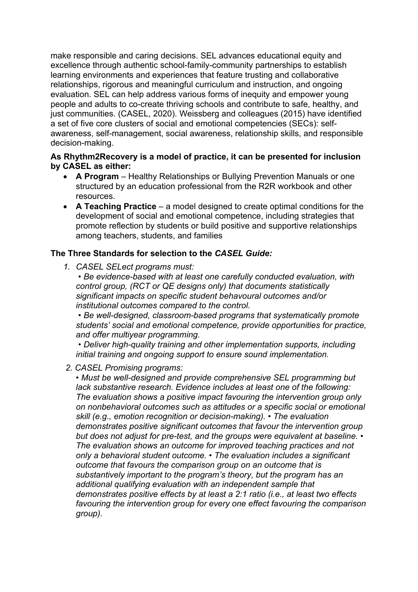make responsible and caring decisions. SEL advances educational equity and excellence through authentic school-family-community partnerships to establish learning environments and experiences that feature trusting and collaborative relationships, rigorous and meaningful curriculum and instruction, and ongoing evaluation. SEL can help address various forms of inequity and empower young people and adults to co-create thriving schools and contribute to safe, healthy, and just communities. (CASEL, 2020). Weissberg and colleagues (2015) have identified a set of five core clusters of social and emotional competencies (SECs): selfawareness, self-management, social awareness, relationship skills, and responsible decision-making.

#### **As Rhythm2Recovery is a model of practice, it can be presented for inclusion by CASEL as either:**

- **A Program** Healthy Relationships or Bullying Prevention Manuals or one structured by an education professional from the R2R workbook and other resources.
- **A Teaching Practice** a model designed to create optimal conditions for the development of social and emotional competence, including strategies that promote reflection by students or build positive and supportive relationships among teachers, students, and families

### **The Three Standards for selection to the** *CASEL Guide:*

*1. CASEL SELect programs must:*

*• Be evidence-based with at least one carefully conducted evaluation, with control group, (RCT or QE designs only) that documents statistically significant impacts on specific student behavoural outcomes and/or institutional outcomes compared to the control.*

*• Be well-designed, classroom-based programs that systematically promote students' social and emotional competence, provide opportunities for practice, and offer multiyear programming.*

*• Deliver high-quality training and other implementation supports, including initial training and ongoing support to ensure sound implementation.* 

*2. CASEL Promising programs:* 

*• Must be well-designed and provide comprehensive SEL programming but lack substantive research. Evidence includes at least one of the following: The evaluation shows a positive impact favouring the intervention group only on nonbehavioral outcomes such as attitudes or a specific social or emotional skill (e.g., emotion recognition or decision-making). • The evaluation demonstrates positive significant outcomes that favour the intervention group but does not adjust for pre-test, and the groups were equivalent at baseline. • The evaluation shows an outcome for improved teaching practices and not only a behavioral student outcome. • The evaluation includes a significant outcome that favours the comparison group on an outcome that is substantively important to the program's theory, but the program has an additional qualifying evaluation with an independent sample that demonstrates positive effects by at least a 2:1 ratio (i.e., at least two effects favouring the intervention group for every one effect favouring the comparison group).*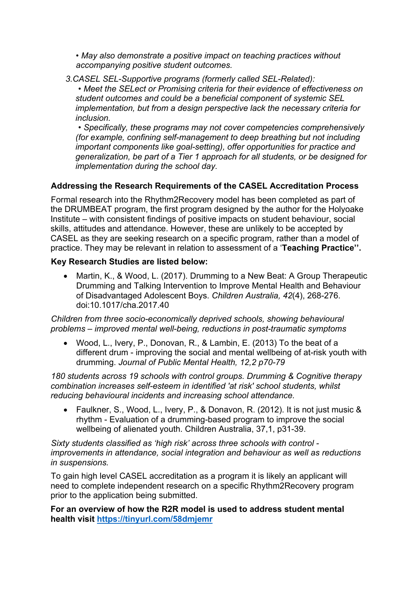*• May also demonstrate a positive impact on teaching practices without accompanying positive student outcomes.* 

*3.CASEL SEL-Supportive programs (formerly called SEL-Related):*

*• Meet the SELect or Promising criteria for their evidence of effectiveness on student outcomes and could be a beneficial component of systemic SEL implementation, but from a design perspective lack the necessary criteria for inclusion.*

*• Specifically, these programs may not cover competencies comprehensively (for example, confining self-management to deep breathing but not including important components like goal-setting), offer opportunities for practice and generalization, be part of a Tier 1 approach for all students, or be designed for implementation during the school day.*

## **Addressing the Research Requirements of the CASEL Accreditation Process**

Formal research into the Rhythm2Recovery model has been completed as part of the DRUMBEAT program, the first program designed by the author for the Holyoake Institute – with consistent findings of positive impacts on student behaviour, social skills, attitudes and attendance. However, these are unlikely to be accepted by CASEL as they are seeking research on a specific program, rather than a model of practice. They may be relevant in relation to assessment of a '**Teaching Practice''.** 

### **Key Research Studies are listed below:**

• Martin, K., & Wood, L. (2017). Drumming to a New Beat: A Group Therapeutic Drumming and Talking Intervention to Improve Mental Health and Behaviour of Disadvantaged Adolescent Boys. *Children Australia, 42*(4), 268-276. doi:10.1017/cha.2017.40

*Children from three socio-economically deprived schools, showing behavioural problems – improved mental well-being, reductions in post-traumatic symptoms*

• Wood, L., Ivery, P., Donovan, R., & Lambin, E. (2013) To the beat of a different drum - improving the social and mental wellbeing of at-risk youth with drumming. *Journal of Public Mental Health, 12,2 p70-79*

*180 students across 19 schools with control groups. Drumming & Cognitive therapy combination increases self-esteem in identified 'at risk' school students, whilst reducing behavioural incidents and increasing school attendance.*

• Faulkner, S., Wood, L., Ivery, P., & Donavon, R. (2012). It is not just music & rhythm - Evaluation of a drumming-based program to improve the social wellbeing of alienated youth. Children Australia, 37,1, p31-39.

*Sixty students classified as 'high risk' across three schools with control improvements in attendance, social integration and behaviour as well as reductions in suspensions.*

To gain high level CASEL accreditation as a program it is likely an applicant will need to complete independent research on a specific Rhythm2Recovery program prior to the application being submitted.

**For an overview of how the R2R model is used to address student mental health visit https://tinyurl.com/58dmjemr**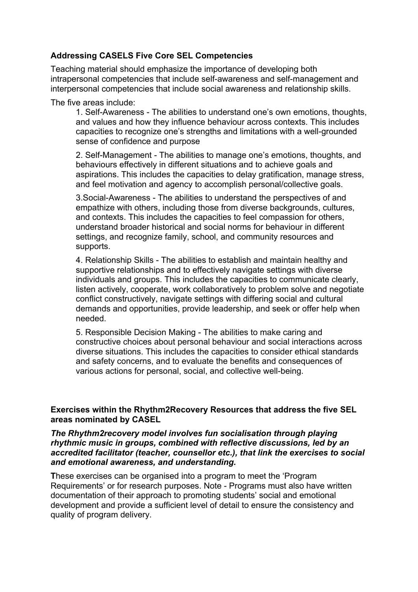### **Addressing CASELS Five Core SEL Competencies**

Teaching material should emphasize the importance of developing both intrapersonal competencies that include self-awareness and self-management and interpersonal competencies that include social awareness and relationship skills.

The five areas include:

1. Self-Awareness - The abilities to understand one's own emotions, thoughts, and values and how they influence behaviour across contexts. This includes capacities to recognize one's strengths and limitations with a well-grounded sense of confidence and purpose

2. Self-Management - The abilities to manage one's emotions, thoughts, and behaviours effectively in different situations and to achieve goals and aspirations. This includes the capacities to delay gratification, manage stress, and feel motivation and agency to accomplish personal/collective goals.

3.Social-Awareness - The abilities to understand the perspectives of and empathize with others, including those from diverse backgrounds, cultures, and contexts. This includes the capacities to feel compassion for others, understand broader historical and social norms for behaviour in different settings, and recognize family, school, and community resources and supports.

4. Relationship Skills - The abilities to establish and maintain healthy and supportive relationships and to effectively navigate settings with diverse individuals and groups. This includes the capacities to communicate clearly, listen actively, cooperate, work collaboratively to problem solve and negotiate conflict constructively, navigate settings with differing social and cultural demands and opportunities, provide leadership, and seek or offer help when needed.

5. Responsible Decision Making - The abilities to make caring and constructive choices about personal behaviour and social interactions across diverse situations. This includes the capacities to consider ethical standards and safety concerns, and to evaluate the benefits and consequences of various actions for personal, social, and collective well-being.

#### **Exercises within the Rhythm2Recovery Resources that address the five SEL areas nominated by CASEL**

#### *The Rhythm2recovery model involves fun socialisation through playing rhythmic music in groups, combined with reflective discussions, led by an accredited facilitator (teacher, counsellor etc.), that link the exercises to social and emotional awareness, and understanding.*

**T**hese exercises can be organised into a program to meet the 'Program Requirements' or for research purposes. Note - Programs must also have written documentation of their approach to promoting students' social and emotional development and provide a sufficient level of detail to ensure the consistency and quality of program delivery.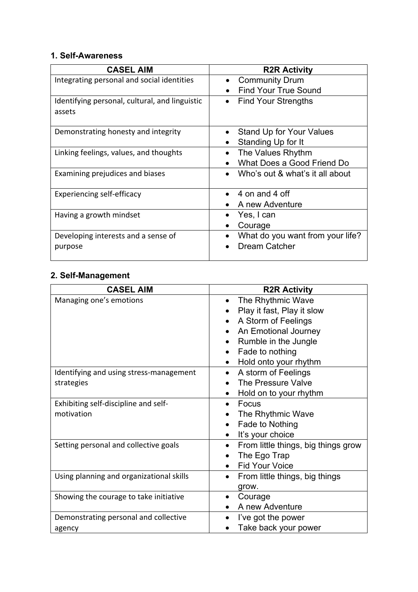# **1. Self-Awareness**

| <b>CASEL AIM</b>                                         | <b>R2R Activity</b>                     |
|----------------------------------------------------------|-----------------------------------------|
| Integrating personal and social identities               | <b>Community Drum</b>                   |
|                                                          | <b>Find Your True Sound</b>             |
| Identifying personal, cultural, and linguistic<br>assets | <b>Find Your Strengths</b><br>$\bullet$ |
| Demonstrating honesty and integrity                      | <b>Stand Up for Your Values</b>         |
|                                                          | Standing Up for It                      |
| Linking feelings, values, and thoughts                   | The Values Rhythm                       |
|                                                          | What Does a Good Friend Do              |
| Examining prejudices and biases                          | Who's out & what's it all about         |
| Experiencing self-efficacy                               | 4 on and 4 off                          |
|                                                          | A new Adventure                         |
| Having a growth mindset                                  | Yes, I can                              |
|                                                          | Courage                                 |
| Developing interests and a sense of                      | What do you want from your life?        |
| purpose                                                  | <b>Dream Catcher</b>                    |

# **2. Self-Management**

| <b>CASEL AIM</b>                         | <b>R2R Activity</b>                              |
|------------------------------------------|--------------------------------------------------|
| Managing one's emotions                  | The Rhythmic Wave                                |
|                                          | Play it fast, Play it slow                       |
|                                          | A Storm of Feelings                              |
|                                          | An Emotional Journey                             |
|                                          | Rumble in the Jungle                             |
|                                          | Fade to nothing<br>$\bullet$                     |
|                                          | Hold onto your rhythm                            |
| Identifying and using stress-management  | A storm of Feelings<br>$\bullet$                 |
| strategies                               | The Pressure Valve                               |
|                                          | Hold on to your rhythm                           |
| Exhibiting self-discipline and self-     | Focus                                            |
| motivation                               | The Rhythmic Wave                                |
|                                          | Fade to Nothing                                  |
|                                          | It's your choice<br>$\bullet$                    |
| Setting personal and collective goals    | From little things, big things grow<br>$\bullet$ |
|                                          | The Ego Trap                                     |
|                                          | <b>Fid Your Voice</b>                            |
| Using planning and organizational skills | From little things, big things<br>$\bullet$      |
|                                          | grow.                                            |
| Showing the courage to take initiative   | Courage                                          |
|                                          | A new Adventure                                  |
| Demonstrating personal and collective    | I've got the power                               |
| agency                                   | Take back your power                             |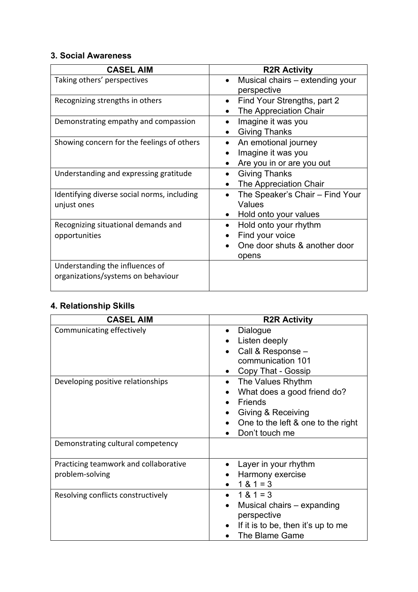# **3. Social Awareness**

| <b>CASEL AIM</b>                                                      | <b>R2R Activity</b>                                                                  |
|-----------------------------------------------------------------------|--------------------------------------------------------------------------------------|
| Taking others' perspectives                                           | Musical chairs - extending your<br>perspective                                       |
| Recognizing strengths in others                                       | Find Your Strengths, part 2<br>$\bullet$<br>The Appreciation Chair                   |
| Demonstrating empathy and compassion                                  | Imagine it was you<br><b>Giving Thanks</b>                                           |
| Showing concern for the feelings of others                            | An emotional journey<br>$\bullet$<br>Imagine it was you<br>Are you in or are you out |
| Understanding and expressing gratitude                                | <b>Giving Thanks</b><br>The Appreciation Chair                                       |
| Identifying diverse social norms, including<br>unjust ones            | The Speaker's Chair - Find Your<br>Values<br>Hold onto your values                   |
| Recognizing situational demands and<br>opportunities                  | Hold onto your rhythm<br>Find your voice<br>One door shuts & another door<br>opens   |
| Understanding the influences of<br>organizations/systems on behaviour |                                                                                      |

# **4. Relationship Skills**

| <b>CASEL AIM</b>                                         | <b>R2R Activity</b>                                                                                                                                                      |
|----------------------------------------------------------|--------------------------------------------------------------------------------------------------------------------------------------------------------------------------|
| Communicating effectively                                | Dialogue<br>Listen deeply<br>Call & Response -<br>communication 101<br>Copy That - Gossip                                                                                |
| Developing positive relationships                        | The Values Rhythm<br>$\bullet$<br>What does a good friend do?<br><b>Friends</b><br><b>Giving &amp; Receiving</b><br>One to the left & one to the right<br>Don't touch me |
| Demonstrating cultural competency                        |                                                                                                                                                                          |
| Practicing teamwork and collaborative<br>problem-solving | Layer in your rhythm<br>Harmony exercise<br>$1 & 1 = 3$                                                                                                                  |
| Resolving conflicts constructively                       | $1 & 1 = 3$<br>Musical chairs – expanding<br>perspective<br>If it is to be, then it's up to me<br>The Blame Game                                                         |